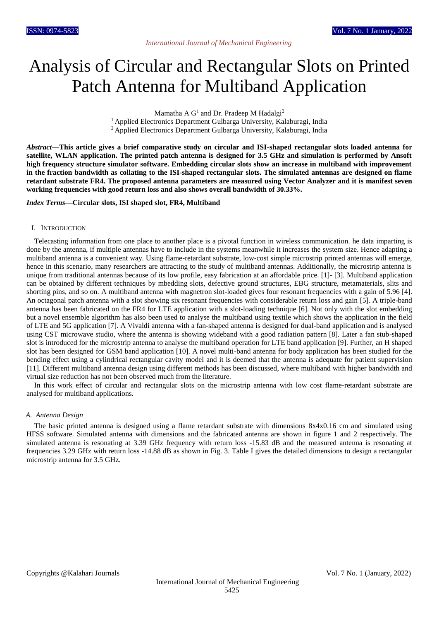# Analysis of Circular and Rectangular Slots on Printed Patch Antenna for Multiband Application

Mamatha A  $G<sup>1</sup>$  and Dr. Pradeep M Hadalgi<sup>2</sup>

<sup>1</sup> Applied Electronics Department Gulbarga University, Kalaburagi, India

<sup>2</sup> Applied Electronics Department Gulbarga University, Kalaburagi, India

*Abstract***—This article gives a brief comparative study on circular and ISI-shaped rectangular slots loaded antenna for satellite, WLAN application. The printed patch antenna is designed for 3.5 GHz and simulation is performed by Ansoft high frequency structure simulator software. Embedding circular slots show an increase in multiband with improvement in the fraction bandwidth as collating to the ISI-shaped rectangular slots. The simulated antennas are designed on flame retardant substrate FR4. The proposed antenna parameters are measured using Vector Analyzer and it is manifest seven working frequencies with good return loss and also shows overall bandwidth of 30.33%.**

## *Index Terms***—Circular slots, ISI shaped slot, FR4, Multiband**

## I. INTRODUCTION

Telecasting information from one place to another place is a pivotal function in wireless communication. he data imparting is done by the antenna, if multiple antennas have to include in the systems meanwhile it increases the system size. Hence adapting a multiband antenna is a convenient way. Using flame-retardant substrate, low-cost simple microstrip printed antennas will emerge, hence in this scenario, many researchers are attracting to the study of multiband antennas. Additionally, the microstrip antenna is unique from traditional antennas because of its low profile, easy fabrication at an affordable price. [1]- [3]. Multiband application can be obtained by different techniques by mbedding slots, defective ground structures, EBG structure, metamaterials, slits and shorting pins, and so on. A multiband antenna with magnetron slot-loaded gives four resonant frequencies with a gain of 5.96 [4]. An octagonal patch antenna with a slot showing six resonant frequencies with considerable return loss and gain [5]. A triple-band antenna has been fabricated on the FR4 for LTE application with a slot-loading technique [6]. Not only with the slot embedding but a novel ensemble algorithm has also been used to analyse the multiband using textile which shows the application in the field of LTE and 5G application [7]. A Vivaldi antenna with a fan-shaped antenna is designed for dual-band application and is analysed using CST microwave studio, where the antenna is showing wideband with a good radiation pattern [8]. Later a fan stub-shaped slot is introduced for the microstrip antenna to analyse the multiband operation for LTE band application [9]. Further, an H shaped slot has been designed for GSM band application [10]. A novel multi-band antenna for body application has been studied for the bending effect using a cylindrical rectangular cavity model and it is deemed that the antenna is adequate for patient supervision [11]. Different multiband antenna design using different methods has been discussed, where multiband with higher bandwidth and virtual size reduction has not been observed much from the literature.

In this work effect of circular and rectangular slots on the microstrip antenna with low cost flame-retardant substrate are analysed for multiband applications.

### *A. Antenna Design*

The basic printed antenna is designed using a flame retardant substrate with dimensions 8x4x0.16 cm and simulated using HFSS software. Simulated antenna with dimensions and the fabricated antenna are shown in figure 1 and 2 respectively. The simulated antenna is resonating at 3.39 GHz frequency with return loss *-*15.83 dB and the measured antenna is resonating at frequencies 3.29 GHz with return loss -14.88 dB as shown in Fig. 3. Table I gives the detailed dimensions to design a rectangular microstrip antenna for 3.5 GHz.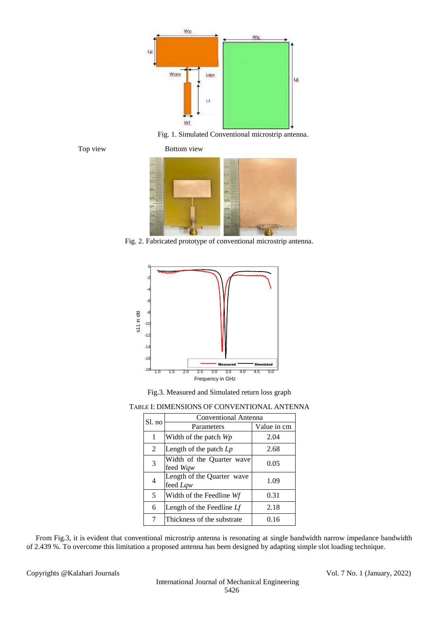

Fig. 1. Simulated Conventional microstrip antenna.



Top view Bottom view



Fig. 2. Fabricated prototype of conventional microstrip antenna.



Fig.3. Measured and Simulated return loss graph

# TABLE I: DIMENSIONS OF CONVENTIONAL ANTENNA

| Sl. no | <b>Conventional Antenna</b>            |             |  |  |  |
|--------|----------------------------------------|-------------|--|--|--|
|        | Parameters                             | Value in cm |  |  |  |
| 1      | Width of the patch Wp                  | 2.04        |  |  |  |
| 2      | Length of the patch $L_p$              | 2.68        |  |  |  |
| 3      | Width of the Quarter wave<br>feed Wqw  | 0.05        |  |  |  |
| 4      | Length of the Quarter wave<br>feed Lqw | 1.09        |  |  |  |
| 5      | Width of the Feedline Wf               | 0.31        |  |  |  |
| 6      | Length of the Feedline Lf              | 2.18        |  |  |  |
| 7      | Thickness of the substrate             | 0.16        |  |  |  |

From Fig.3, it is evident that conventional microstrip antenna is resonating at single bandwidth narrow impedance bandwidth of 2.439 %. To overcome this limitation a proposed antenna has been designed by adapting simple slot loading technique.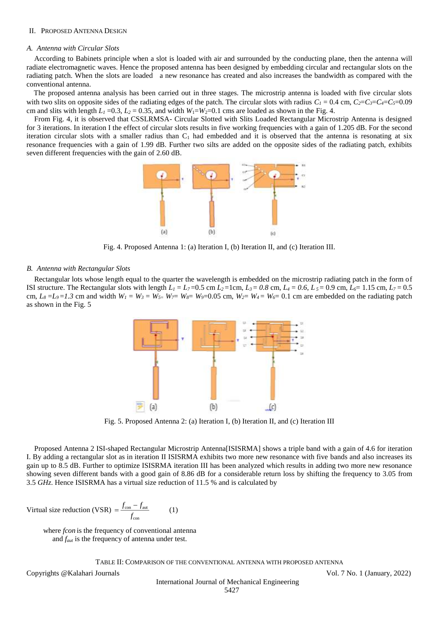## II. PROPOSED ANTENNA DESIGN

## *A. Antenna with Circular Slots*

According to Babinets principle when a slot is loaded with air and surrounded by the conducting plane, then the antenna will radiate electromagnetic waves. Hence the proposed antenna has been designed by embedding circular and rectangular slots on the radiating patch. When the slots are loaded a new resonance has created and also increases the bandwidth as compared with the conventional antenna.

The proposed antenna analysis has been carried out in three stages. The microstrip antenna is loaded with five circular slots with two slits on opposite sides of the radiating edges of the patch. The circular slots with radius  $C_1 = 0.4$  cm,  $C_2 = C_3 = C_4 = C_5 = 0.09$ cm and slits with length  $L_1 = 0.3$ ,  $L_2 = 0.35$ , and width  $W_1 = W_2 = 0.1$  cms are loaded as shown in the Fig. 4.

From Fig. 4, it is observed that CSSLRMSA- Circular Slotted with Slits Loaded Rectangular Microstrip Antenna is designed for 3 iterations. In iteration I the effect of circular slots results in five working frequencies with a gain of 1.205 dB. For the second iteration circular slots with a smaller radius than  $C_1$  had embedded and it is observed that the antenna is resonating at six resonance frequencies with a gain of 1.99 dB. Further two silts are added on the opposite sides of the radiating patch, exhibits seven different frequencies with the gain of 2.60 dB.



Fig. 4. Proposed Antenna 1: (a) Iteration I, (b) Iteration II, and (c) Iteration III.

#### *B. Antenna with Rectangular Slots*

Rectangular lots whose length equal to the quarter the wavelength is embedded on the microstrip radiating patch in the form of ISI structure. The Rectangular slots with length  $L_1 = L_7 = 0.5$  cm  $L_2 = 1$ cm,  $L_3 = 0.8$  cm,  $L_4 = 0.6$ ,  $L_5 = 0.9$  cm,  $L_6 = 1.15$  cm,  $L_7 = 0.5$ cm,  $L_8 = L_9 = 1.3$  cm and width  $W_1 = W_3 = W_5 = W_7 = W_8 = W_9 = 0.05$  cm,  $W_2 = W_4 = W_6 = 0.1$  cm are embedded on the radiating patch as shown in the Fig. 5



Fig. 5. Proposed Antenna 2: (a) Iteration I, (b) Iteration II, and (c) Iteration III

Proposed Antenna 2 ISI-shaped Rectangular Microstrip Antenna[ISISRMA] shows a triple band with a gain of 4.6 for iteration I. By adding a rectangular slot as in iteration II ISISRMA exhibits two more new resonance with five bands and also increases its gain up to 8.5 dB. Further to optimize ISISRMA iteration III has been analyzed which results in adding two more new resonance showing seven different bands with a good gain of 8.86 dB for a considerable return loss by shifting the frequency to 3.05 from 3.5 *GHz*. Hence ISISRMA has a virtual size reduction of 11.5 % and is calculated by

$$
Virtual size reduction (VSR) = \frac{f_{con} - f_{aut}}{f_{con}}
$$
 (1)

 where *fcon* is the frequency of conventional antenna and *faut* is the frequency of antenna under test.

TABLE II: COMPARISON OF THE CONVENTIONAL ANTENNA WITH PROPOSED ANTENNA

Copyrights @Kalahari Journals Vol. 7 No. 1 (January, 2022)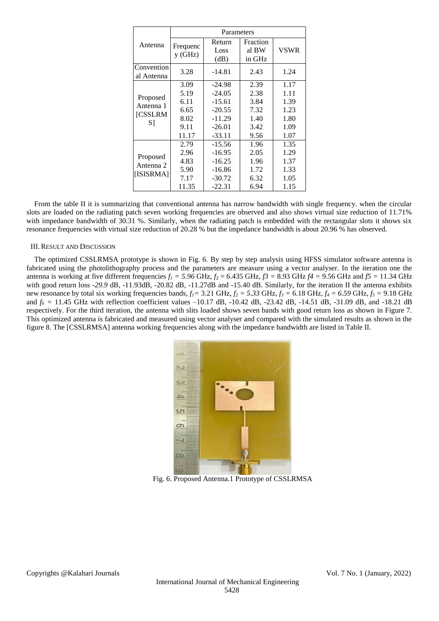|                          | Parameters         |                        |                             |             |  |
|--------------------------|--------------------|------------------------|-----------------------------|-------------|--|
| Antenna                  | Frequenc<br>y(GHz) | Return<br>Loss<br>(dB) | Fraction<br>al BW<br>in GHz | <b>VSWR</b> |  |
| Convention<br>al Antenna | 3.28               | $-14.81$               | 2.43                        | 1.24        |  |
|                          | 3.09               | $-24.98$               | 2.39                        | 1.17        |  |
| Proposed                 | 5.19               | $-24.05$               | 2.38                        | 1.11        |  |
| Antenna 1                | 6.11               | $-15.61$               | 3.84                        | 1.39        |  |
| <b>[CSSLRM</b>           | 6.65               | $-20.55$               | 7.32                        | 1.23        |  |
| S1                       | 8.02               | $-11.29$               | 1.40                        | 1.80        |  |
|                          | 9.11               | $-26.01$               | 3.42                        | 1.09        |  |
|                          | 11.17              | $-33.11$               | 9.56                        | 1.07        |  |
|                          | 2.79               | $-15.56$               | 1.96                        | 1.35        |  |
|                          | 2.96               | $-16.95$               | 2.05                        | 1.29        |  |
| Proposed<br>Antenna 2    | 4.83               | $-16.25$               | 1.96                        | 1.37        |  |
|                          | 5.90               | $-16.86$               | 1.72                        | 1.33        |  |
| [ISISRMA]                | 7.17               | $-30.72$               | 6.32                        | 1.05        |  |
|                          | 11.35              | $-22.31$               | 6.94                        | 1.15        |  |

From the table II it is summarizing that conventional antenna has narrow bandwidth with single frequency. when the circular slots are loaded on the radiating patch seven working frequencies are observed and also shows virtual size reduction of 11.71% with impedance bandwidth of 30.31 %. Similarly, when the radiating patch is embedded with the rectangular slots it shows six resonance frequencies with virtual size reduction of 20.28 % but the impedance bandwidth is about 20.96 % has observed.

# III.RESULT AND DISCUSSION

The optimized CSSLRMSA prototype is shown in Fig. 6. By step by step analysis using HFSS simulator software antenna is fabricated using the photolithography process and the parameters are measure using a vector analyser. In the iteration one the antenna is working at five different frequencies  $f_1 = 5.96$  GHz,  $f_2 = 6.435$  GHz,  $f_3 = 8.93$  GHz  $f_4 = 9.56$  GHz and  $f_5 = 11.34$  GHz with good return loss -29.9 dB, -11.93dB, -20.82 dB, -11.27dB and -15.40 dB. Similarly, for the iteration II the antenna exhibits new resonance by total six working frequencies bands,  $f_1 = 3.21 \text{ GHz}$ ,  $f_2 = 5.33 \text{ GHz}$ ,  $f_3 = 6.18 \text{ GHz}$ ,  $f_4 = 6.59 \text{ GHz}$ ,  $f_5 = 9.18 \text{ GHz}$ and  $f_6$  = 11.45 GHz with reflection coefficient values –10.17 dB, -10.42 dB, -23.42 dB, -14.51 dB, -31.09 dB, and -18.21 dB respectively. For the third iteration, the antenna with slits loaded shows seven bands with good return loss as shown in Figure 7. This optimized antenna is fabricated and measured using vector analyser and compared with the simulated results as shown in the figure 8. The [CSSLRMSA] antenna working frequencies along with the impedance bandwidth are listed in Table II.



Fig. 6. Proposed Antenna.1 Prototype of CSSLRMSA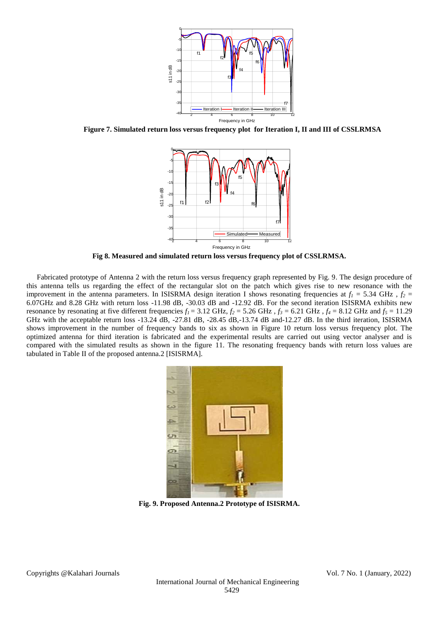

**Figure 7. Simulated return loss versus frequency plot for Iteration I, II and III of CSSLRMSA**



**Fig 8. Measured and simulated return loss versus frequency plot of CSSLRMSA.**

Fabricated prototype of Antenna 2 with the return loss versus frequency graph represented by Fig. 9. The design procedure of this antenna tells us regarding the effect of the rectangular slot on the patch which gives rise to new resonance with the improvement in the antenna parameters. In ISISRMA design iteration I shows resonating frequencies at  $f_1 = 5.34 \text{ GHz}$ ,  $f_2 =$ 6.07GHz and 8.28 GHz with return loss -11.98 dB, -30.03 dB and -12.92 dB. For the second iteration ISISRMA exhibits new resonance by resonating at five different frequencies  $f_1 = 3.12$  GHz,  $f_2 = 5.26$  GHz,  $f_3 = 6.21$  GHz,  $f_4 = 8.12$  GHz and  $f_5 = 11.29$ GHz with the acceptable return loss -13.24 dB, -27.81 dB, -28.45 dB,-13.74 dB and-12.27 dB. In the third iteration, ISISRMA shows improvement in the number of frequency bands to six as shown in Figure 10 return loss versus frequency plot. The optimized antenna for third iteration is fabricated and the experimental results are carried out using vector analyser and is compared with the simulated results as shown in the figure 11. The resonating frequency bands with return loss values are tabulated in Table II of the proposed antenna.2 [ISISRMA].



**Fig. 9. Proposed Antenna.2 Prototype of ISISRMA.**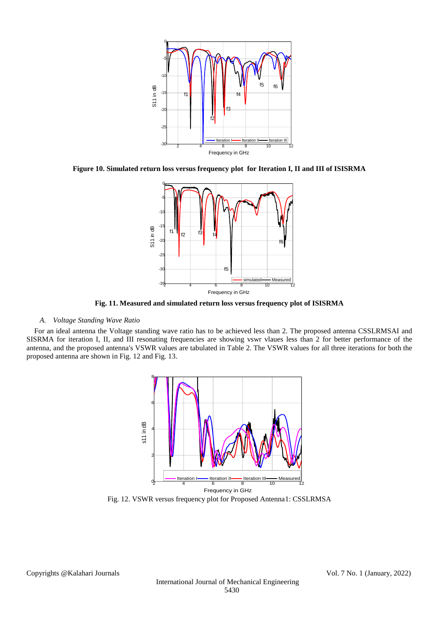

**Figure 10. Simulated return loss versus frequency plot for Iteration I, II and III of ISISRMA**



**Fig. 11. Measured and simulated return loss versus frequency plot of ISISRMA**

# *A. Voltage Standing Wave Ratio*

For an ideal antenna the Voltage standing wave ratio has to be achieved less than 2. The proposed antenna CSSLRMSAI and SISRMA for iteration I, II, and III resonating frequencies are showing vswr vlaues less than 2 for better performance of the antenna, and the proposed antenna's VSWR values are tabulated in Table 2. The VSWR values for all three iterations for both the proposed antenna are shown in Fig. 12 and Fig. 13.



Fig. 12. VSWR versus frequency plot for Proposed Antenna1: CSSLRMSA

Copyrights @Kalahari Journals Vol. 7 No. 1 (January, 2022)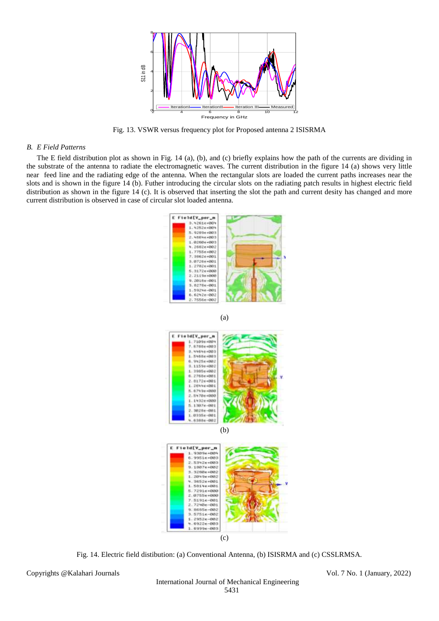

Fig. 13. VSWR versus frequency plot for Proposed antenna 2 ISISRMA

### *B. E Field Patterns*

The E field distribution plot as shown in Fig. 14 (a), (b), and (c) briefly explains how the path of the currents are dividing in the substrate of the antenna to radiate the electromagnetic waves. The current distribution in the figure 14 (a) shows very little near feed line and the radiating edge of the antenna. When the rectangular slots are loaded the current paths increases near the slots and is shown in the figure 14 (b). Futher introducing the circular slots on the radiating patch results in highest electric field distribution as shown in the figure 14 (c). It is observed that inserting the slot the path and current desity has changed and more current distribution is observed in case of circular slot loaded antenna.



(a)





Fig. 14. Electric field distibution: (a) Conventional Antenna, (b) ISISRMA and (c) CSSLRMSA.

Copyrights @Kalahari Journals Vol. 7 No. 1 (January, 2022)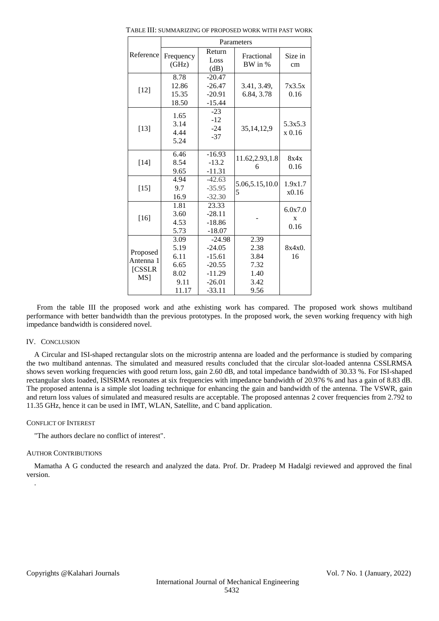|                                                           | Parameters                                            |                                                                                  |                                                      |                      |  |
|-----------------------------------------------------------|-------------------------------------------------------|----------------------------------------------------------------------------------|------------------------------------------------------|----------------------|--|
| Reference                                                 | Frequency<br>(GHz)                                    | Return<br>Loss<br>(dB)                                                           | Fractional<br>BW in %                                | Size in<br>cm        |  |
| $[12]$                                                    | 8.78<br>12.86<br>15.35<br>18.50                       | $-20.47$<br>$-26.47$<br>$-20.91$<br>$-15.44$                                     | 3.41, 3.49,<br>6.84, 3.78                            | 7x3.5x<br>0.16       |  |
| $[13]$                                                    | 1.65<br>3.14<br>4.44<br>5.24                          | $-23$<br>$-12$<br>$-24$<br>$-37$                                                 | 35, 14, 12, 9                                        | 5.3x5.3<br>x 0.16    |  |
| $[14]$                                                    | 6.46<br>8.54<br>9.65                                  | $-16.93$<br>$-13.2$<br>$-11.31$                                                  | 11.62,2.93,1.8<br>6                                  | 8x4x<br>0.16         |  |
| $[15]$                                                    | 4.94<br>9.7<br>16.9                                   | $-42.63$<br>$-35.95$<br>$-32.30$                                                 | 5.06,5.15,10.0<br>5                                  | 1.9x1.7<br>x0.16     |  |
| $[16]$                                                    | 1.81<br>3.60<br>4.53<br>5.73                          | 23.33<br>$-28.11$<br>$-18.86$<br>$-18.07$                                        |                                                      | 6.0x7.0<br>X<br>0.16 |  |
| Proposed<br>Antenna 1<br><b>[CSSLR</b><br>MS <sub>1</sub> | 3.09<br>5.19<br>6.11<br>6.65<br>8.02<br>9.11<br>11.17 | $-24.98$<br>$-24.05$<br>$-15.61$<br>$-20.55$<br>$-11.29$<br>$-26.01$<br>$-33.11$ | 2.39<br>2.38<br>3.84<br>7.32<br>1.40<br>3.42<br>9.56 | $8x4x0$ .<br>16      |  |

TABLE III: SUMMARIZING OF PROPOSED WORK WITH PAST WORK

From the table III the proposed work and athe exhisting work has compared. The proposed work shows multiband performance with better bandwidth than the previous prototypes. In the proposed work, the seven working frequency with high impedance bandwidth is considered novel.

## IV. CONCLUSION

A Circular and ISI-shaped rectangular slots on the microstrip antenna are loaded and the performance is studied by comparing the two multiband antennas. The simulated and measured results concluded that the circular slot-loaded antenna CSSLRMSA shows seven working frequencies with good return loss, gain 2.60 dB, and total impedance bandwidth of 30.33 %. For ISI-shaped rectangular slots loaded, ISISRMA resonates at six frequencies with impedance bandwidth of 20.976 % and has a gain of 8.83 dB. The proposed antenna is a simple slot loading technique for enhancing the gain and bandwidth of the antenna. The VSWR, gain and return loss values of simulated and measured results are acceptable. The proposed antennas 2 cover frequencies from 2.792 to 11.35 GHz, hence it can be used in IMT, WLAN, Satellite, and C band application.

## CONFLICT OF INTEREST

"The authors declare no conflict of interest".

## AUTHOR CONTRIBUTIONS

Mamatha A G conducted the research and analyzed the data. Prof. Dr. Pradeep M Hadalgi reviewed and approved the final version. .